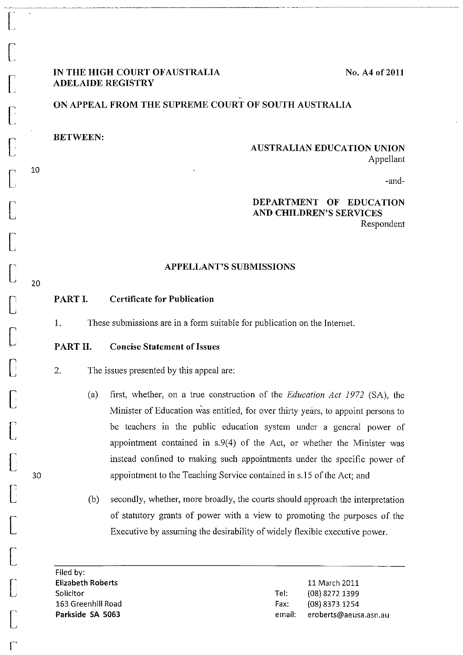$\bigl[$ 

 $\mathbf{r}$ 

## **IN THE HIGH COURT OFAUSTRALIA ADELAIDE REGISTRY**

**No. A4** of 2011

# **ON APPEAL FROM THE SUPREME COURT OF SOUTH AUSTRALIA**

**BETWEEN:** 

## **AUSTRALIAN EDUCATION UNION**  Appellant

-and-

# **DEPARTMENT OF EDUCATION AND CHILDREN'S SERVICES**

Respondent

#### **APPELLANT'S SUBMISSIONS**

#### **PART I. Certificate for Publicatiou**

**1.** These submissions are in a form suitable **for** publication on the Internet.

#### **PART 11. Concise Statement of Issues**

2. The issues presented by this appeal are:

- (a) first, whether, on a true construction of the *Education Act* 1972 (SA), the Minister of Education was entitled, for over thirty years, to appoint persons to be teachers in the public education system under a general power of appointment contained in s.9(4) of the Act, or whether the Minister was instead confined to making such appointments under the specific power of appointment to the Teaching Service contained in s.15 of the Act; and
- (b) secondly, whether, more broadly, the courts should approach the interpretation **of** statutory grants of power with a view to promoting the purposes of the Executive by assuming the desirability of widely flexible executive power.

Filed by: **Elizabeth Roberts**  Solicitor 163 Greenhill Road **Parkside SA 5063** 

11 March 2011 lel: (08) 8272 1399 Fax: (08) 8373 1254 email: eroberts@aeusa.asn.au

20

30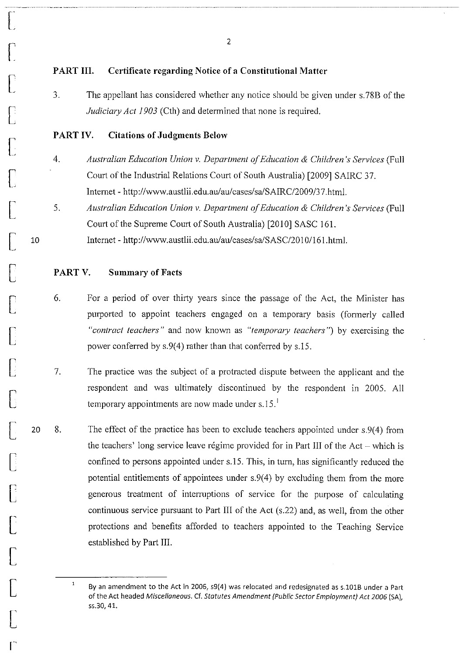## **PART Ill. Certificate regarding Notice of a Constitutional Matter**

3. The appellant has considered whether any notice should be given under s.78B of the *Judiciary Act 1903* (Cth) and determined that none is required.

## PART IV. **Citations of Judgments Below**

 $\begin{bmatrix} \phantom{-} \end{bmatrix}$ 

 $\begin{bmatrix} 1 & 1 \\ 1 & 1 \end{bmatrix}$ 

 $\bigcap$ 

 $\bigcap$ 

 $\bigl[$ 

**[** 

 $\lbrack$ 

 $\bigl[$ 

10

 $\bigl[$ 

 $\bigcap$ 

 $\bigcap$ 

 $\begin{bmatrix} \phantom{-} \end{bmatrix}$ 

 $\bigl[$ 

[

[

r  $\Box$ 

 $\llbracket$ 

[

 $\bigl[$ 

 $\begin{bmatrix} 1 \\ 1 \end{bmatrix}$ 

r-

- *4. Australian Education Union* v. *Department of Education* & *Children's Services* (Full Court of the Industrial Relations Court of South Australia) [2009] SAIRC 37. Intemet - http://www.austlii.edu.auJau/cases/salSAIRC/2009/37.html.
- 5. *Australian Education Union* v. *Department of Education* & *Children's Services* (Full Court of the Supreme Court of South Australia) [2010] SASC 161. Intemet - http://www.austlii.edu.au/au/cases/salSASC/20101161.html.

## **PARTV. Summary of Facts**

- 6. For a period of over thirty years since the passage of the Act, the Minister has purported to appoint teachers engaged on a temporary basis (formerly called *"contract teachers"* and now known as *"temporary teachers")* by exercising the power conferred by s.9(4) rather than that conferred by s.l5.
- 7. The practice was the subject of a protracted dispute between the applicant and the respondent and was ultimately discontinued by the respondent in 2005. All temporary appointments are now made under s.15. $<sup>1</sup>$ </sup>
- 20 8. The effect of the practice has been to exclude teachers appointed under s.9(4) from the teachers' long service leave regime provided for in Part III of the  $Act - which$  is confined to persons appointed under s.15. This, in tum, has significantly reduced the potential entitlements of appointees under s.9(4) by excluding them from the more generous treatment of interruptions of service for the purpose of calculating continuous service pursuant to Part III of the Act (s.22) and, as well, from the other protections and benefits afforded to teachers appointed to the Teaching Service established by Part Ill.

 $\mathbf 1$ By an amendment to the Act in 2006, s9(4) was relocated and redesignated as s.101B under a Part of the Act headed Miscellaneous. Cf. Statutes Amendment (Public Sector Employment) Act 2006 (SA), 55.30,41.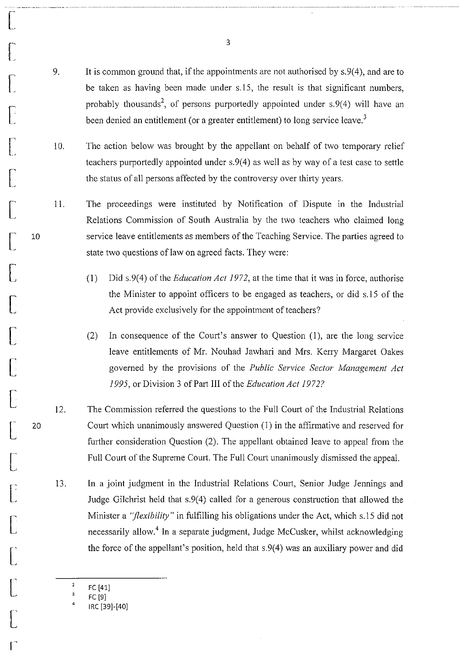- 9. It is common ground that, if the appointments are not authorised by s.9(4), and are to be taken as having been made under s.15, the result is that significant numbers, probably thousands<sup>2</sup>, of persons purportedly appointed under  $s.9(4)$  will have an been denied an entitlement (or a greater entitlement) to long service leave.<sup>3</sup>
- 10. The action below was brought by the appellant on behalf of two temporary relief teachers purportedly appointed under s.9(4) as well as by way of a test case to settle the status of all persons affected by the controversy over thirty years.
- 11. The proceedings were instituted by Notification of Dispute in the Industrial Relations Commission of South Australia by the two teachers who claimed long service leave entitlements as members of the Teaching Service. The parties agreed to state two questions of law on agreed facts. They were:
	- (1) Did s.9(4) of the *Education Act* 1972, at the time that it was in force, authorise the Minister to appoint officers to be engaged as teachers, or did s.15 of the Act provide exclusively for the appointment of teachers?
	- (2) In consequence of the Court's answer to Question (1), are the long service leave entitlements of Mr. Nouhad Jawhari and Mrs. Kerry Margaret Oakes governed by the provisions of the *Public Service Sector Management Act*  1995, or Division 3 of Part III of the *Education Act* 1972?
- 12. The Commission referred the questions to the Full Court of the Industrial Relations Court which unanimously answered Question (1) in the affirmative and reserved for further consideration Question (2). The appellant obtained leave to appeal from the Full Court of the Supreme Court. The Full Court unanimously dismissed the appeal.
- 13. In a joint judgment in the Industrial Relations Court, Senior Judge Jennings and Judge Gilchrist held that s.9(4) called for a generous construction that allowed the Minister a *"flexibility"* in fulfilling his obligations under the Act, which s.15 did not necessarily allow.<sup>4</sup> In a separate judgment, Judge McCusker, whilst acknowledging the force of the appellant's position, held that s.9(4) was an auxiliary power and did
	- FC [41]

r-

 $\bigcap$ 

r~

 $\bigl[$ 

 $\bigl[$ 

 $\bigl[$ 

 $\bigl[$ 

 $\bigl[$ 

10

 $\bigl[$ 

 $\bigl[$ 

 $\bigl[$ 

 $\bigl[$ 

 $\bigl[$ 

 $\begin{bmatrix} \phantom{-} \end{bmatrix}$ 

20

 $\bigl[$ 

 $\overline{\mathbb{C}}$ 

 $\bigl[$ 

 $\begin{bmatrix} 1 & 1 \\ 1 & 1 \end{bmatrix}$ 

 $\bigl[ \begin{smallmatrix} 1 & 1 \\ 1 & 1 \end{smallmatrix} \bigr]$ 

 $\bigl[$ 

r'

2<br>3 FC [91

<sup>4</sup>  IRC [39]-[40]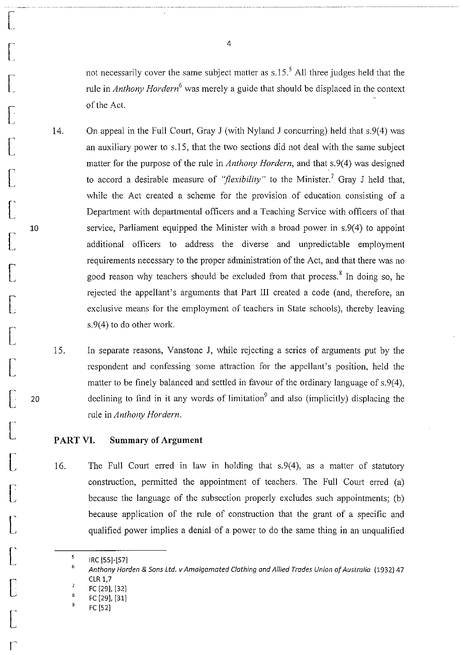not necessarily cover the same subject matter as  $s.15$ .<sup>5</sup> All three judges held that the rule in *Anthony Hordern<sup>6</sup>*was merely a guide that should be displaced in the context of the Act.

---..•...••.... \_ .......... \_-\_ .. \_\_ ...... \_\_ ... .

- 14. On appeal in the Full Court, Gray J (with Nyland J concurring) held that s.9(4) was an auxiliary power to s.15, that the two sections did not deal with the same subject matter for the purpose of the rule in *Anthony Hordern,* and that s.9(4) was designed to accord a desirable measure of *"flexibility"* to the Minister.<sup>7</sup> Gray J held that, while the Act created a scheme for the provision of education consisting of a Department with departmental officers and a Teaching Service with officers of that service, Parliament equipped the Minister with a broad power in s.9(4) to appoint additional officers to address the diverse and unpredictable employment requirements necessary to the proper administration of the Act, and that there was no good reason why teachers should be excluded from that process.<sup>8</sup> In doing so, he rejected the appellant's arguments that Part III created a code (and, therefore, an exclusive means for the employment of teachers in State schools), thereby leaving s. 9(4) to do other work.
- IS. In separate reasons, Vanstone J, while rejecting a series of arguments put by the respondent and confessing some attraction for the appellant's position, held the matter to be finely balanced and settled in favour of the ordinary language of s.9(4), declining to find in it any words of limitation<sup>9</sup> and also (implicitly) displacing the rule in *Anthony Hordern.*

#### **PART VI. Summary of Argument**

16. The Full Court erred in law in holding that s.9(4), as a matter of statutory construction, pennitted the appointment of teachers. The Full Court erred (a) because the language of the subsection properly excludes such appointments; (b) because application of the rule of construction that the grant of a specific and qualified power implies a denial of a power to do the same thing in an unqualified

 $\bigl[$ 

 $\mathfrak{l}_{\mathscr{A}}$ 

 $\lceil$ 

**[** 

 $\begin{bmatrix} \phantom{-} \end{bmatrix}$ 

 $\bigl[$ 

 $\bigl[$ 

 $\bigl[$ 

10

 $\bigl[$ 

 $\bigl[$ 

 $\bigl[$ 

 $\bigl[$ 

 $\sqrt{\frac{1}{2}}$ 

20

 $\left[\rule{0pt}{10pt}\right]$ 

 $\bigl[$ 

r  $\lfloor$ 

 $\bigl[$ 

 $\begin{bmatrix} \phantom{-} \end{bmatrix}$ 

 $\bigl[$ 

 $\bigl[$ 

r'

<sup>5</sup>  IRC [55J·[57J

<sup>6</sup>  Anthony Horden & Sons Ltd. v Amalgamated Clothing and Allied Trades Union of Australia (1932) 47 CLR 1,7

FC [29], [32J

<sup>8</sup>  FC [29], [31J

<sup>9</sup>  FC [52J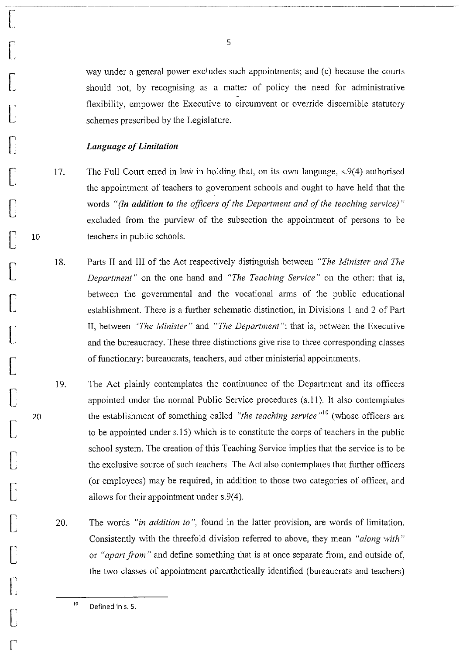way under a general power excludes such appointments; and (c) because the courts should not, by recognising as a matter of policy the need for administrative flexibility, empower the Executive to circumvent or override discernible statutory schemes prescribed by the Legislature.

.~--- ..•... \_. \_\_ .. \_--\_ ..

## *Language of Limitation*

 $\begin{bmatrix} \phantom{-} \end{bmatrix}$ 

 $\bigcap$ 

 $\bigl[$ 

 $\bigcap$ 

 $\begin{bmatrix} \phantom{-} \end{bmatrix}$ 

 $\bigl[$ 

 $\bigcap$ 

 $\bigl[$ 

10

 $\bigl[$ 

 $\bigcap$ 

 $\bigl[$ 

 $\Box$ 

 $\int$ 

 $\lbrack$ 

20

 $\bigl[$ 

**[** 

 $\bigl[$ 

 $\bigl[$ 

 $\bigl[$ 

 $\bigcup$ 

r

- 17. The Full Court erred in law in holding that, on its own language, s.9(4) authorised the appointment of teachers to government schools and ought to have held that the words *"(in addition to the officers of the Department and of the teaching service) "*  excluded from the purview of the subsection the appointment of persons to be teachers in public schools.
- 18. Parts II and III of the Act respectively distinguish between *"The Minister and The Department"* on the one hand and *"The Teaching Service"* on the other: that is, between the governmental and the vocational arms of the public educational establishment. There is a further schematic distinction, in Divisions I and 2 of Part n, between *"The Minister"* and *"The Department":* that is, between the Executive and the bureaucracy. These three distinctions give rise to three corresponding classes of functionary: bureaucrats, teachers, and other ministerial appointments.
- 19. The Act plainly contemplates the continuance of the Department and its officers appointed under the normal Public Service procedures (s.II). It also contemplates the establishment of something called *"the teaching service*"<sup>10</sup> (whose officers are to be appointed under s.15) which is to constitute the corps of teachers in the public school system. The creation of this Teaching Service implies that the service is to be the exclusive source of such teachers. The Act also contemplates that further officers (or employees) may be required, in addition to those two categories of officer, and allows for their appointment under s.9(4).
- 20. The words *"in addition to* ", found in the latter provision, are words of limitation. Consistently with the threefold division referred to above, they mean *"along with"*  or *"apart from"* and define something that is at once separate from, and outside of, the two classes of appointment parenthetically identified (bureaucrats and teachers)

10 Defined in s. 5.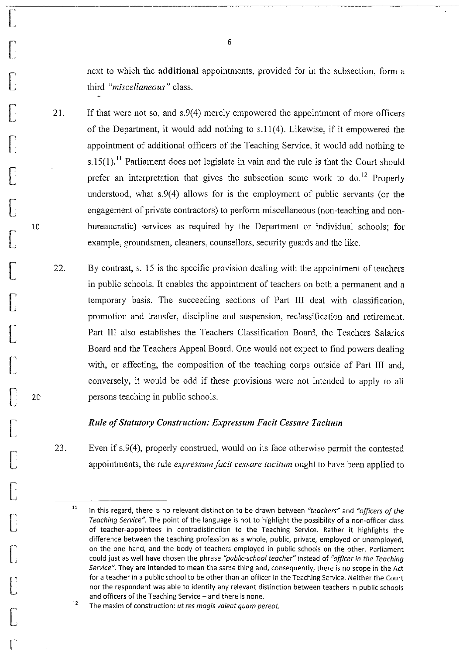next to which the **additional** appointments, provided for in the subsection, form a third *"miscellaneous"* class.

.-~----------.-.. ----------.-.. --------~-----.------.. ---\_.\_.\_--

- 21. If that were not so, and s.9(4) merely empowered the appointment of more officers of the Department, it would add nothing to s.ll (4). Likewise, if it empowered the appointment of additional officers of the Teaching Service, it would add nothing to s.15(1).<sup>11</sup> Parliament does not legislate in vain and the rule is that the Court should prefer an interpretation that gives the subsection some work to  $\phi$ <sup>12</sup> Properly understood, what s.9(4) allows for is the employment of public servants (or the engagement of private contractors) to perform miscellaneous (non-teaching and nonbureaucratic) services as required by the Department or individual schools; for example, groundsmen, cleaners, counsellors, security guards and the like.
- 22. By contrast, s. 15 is the specific provision dealing with the appointment of teachers in public schools. It enables the appointment of teachers on both a permanent and a temporary basis. The succeeding sections of Part III deal with classification, promotion and transfer, discipline and suspension, reclassification and retirement. Part III also establishes the Teachers Classification Board, the Teachers Salaries Board and the Teachers Appeal Board. One would not expect to find powers dealing with, or affecting, the composition of the teaching corps outside of Part III and, conversely, it would be odd if these provisions were not intended to apply to all persons teaching in public schools.

#### *Rule of Statutory Construction: Expressum Facit Cessare Taciturn*

23. Even if s.9(4), properly construed, would on its face otherwise permit the contested appointments, the rule *expressum facit cessare taciturn* ought to have been applied to

6

 $\begin{bmatrix} \phantom{-}\end{bmatrix}$ 

 $\bigcap$ 

 $\bigl[$ 

 $\bigl[$ 

 $\bigcap$ 

 $\bigl[$ 

 $\bigl[$ 

 $\bigl[$ 

10

**[** 

 $\Box$ 

 $\bigcap$ 

 $\Box$ 

[

20

 $\bigl[$ 

 $\bigcup$ 

[<br>[

 $\bigl[$ 

 $\bigl[$ 

 $\bigcup$ 

 $\bigl[$ 

r

<sup>11</sup>  In this regard, there is no relevant distinction to be drawn between *"teachers"* and *"officers of the Teaching Service".* The point of the language is not to highlight the possibility of a non-officer class of teacher-appointees in contradistinction to the Teaching Service. Rather it highlights the difference between the teaching profession as a whole, public, private, employed or unemployed, on the one hand, and the body of teachers employed in public schools on the other. Parliament could just as well have chosen the phrase *"public-school teacher"* instead of *"officer in the Teaching Service".* They are intended to mean the same thing and, consequently, there is no scope in the Act for a teacher in a public school to be other than an officer in the Teaching Service. Neither the Court nor the respondent was able to identify any relevant distinction between teachers in public schools and officers of the Teaching Service - and there is none.

<sup>12</sup>  **The maxim of construction:** *ut res magis va/eat quam pereat.*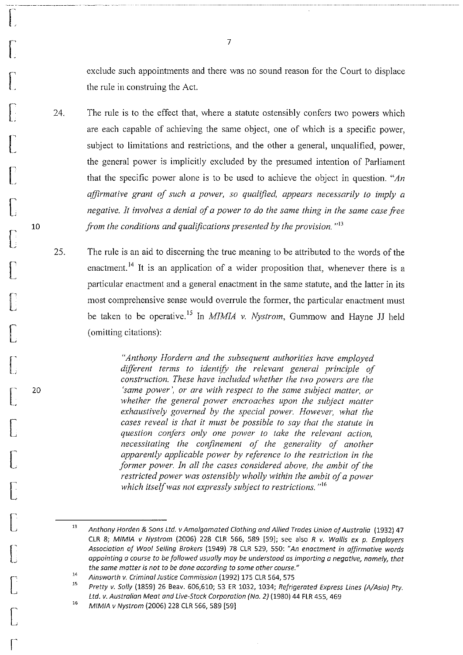exclude such appointments and there was no sound reason for the Court to displace the rule in construing the Act.

24. The rule is to the effect that, where a statute ostensibly confers two powers which are each capable of achieving the same object, one of which is a specific power, subject to limitations and restrictions, and the other a general, unqualified, power, the general power is implicitly excluded by the presumed intention of Parliament that the specific power alone is to be used to achieve the object in question. *"An affirmative grant of such a power, so qualified, appears necessarily to imply a negative. It involves a denial of a power to do the same thing in the same case free from the conditions and qualifications presented by the provision.* "<sup>13</sup>

25. The rule is an aid to discerning the true meaning to be attributed to the words of the enactment.<sup>14</sup> It is an application of a wider proposition that, whenever there is a particular enactment and a general enactment in the same statute, and the latter in its most comprehensive sense would overrule the former, the particular enactment must be taken to be operative. IS In *MIMIA* v. *Nystrom,* Gummow and Hayne JJ held (omitting citations):

> *"Anthony Hordern and the subsequent authorities have employed different terms to identifY the relevant general principle of construction. These have included whether the two powers are the 'same power', or are with respect to the same subject matter, or whether the general power encroaches upon the subject matter exhaustively governed by the special power. However, what the cases reveal is that it must be possible to say that the statute in question confers only one power to take the relevant action, necessitating the confinement of the generality of another apparently applicable power by reference to the restriction in the former power. In all the cases considered above, the ambit of the restricted power was ostensibly wholly within the ambit of a power which itself was not expressly subject to restrictions.*<sup>116</sup>

7

r:

 $\int_{0}^{1}$ 

 $\begin{bmatrix} 1 & 1 \\ 1 & 1 \end{bmatrix}$ 

 $\bigcap$ 

 $\bigl[$ 

 $\llbracket$ 

 $\bigl[$ 

 $\bigl[$ 

10

 $\bigl[$ 

 $\bigl[$ 

 $\bigl[$ 

 $\bigl[$ 

 $\bigl[$ 

20

[

 $\bigl[$ 

[

 $\bigl[$ 

**[** 

 $\bigl[$ 

 $\bigl[$ 

r

<sup>13</sup>  Anthony Harden & Sons Ltd. v Amalgamated Clothing and Allied Trades Union of Australia (1932) 47 CLR 8; MIMIA v Nystrom (2006) 228 CLR 566, 589 [59]; see also R v. Wallis ex p. Employers Association of Wool Selling Brokers (1949) 78 CLR 529, 550: "An enactment in affirmative words appointing a course to be followed usually may be understood as imparting a negative, namely, that *the same matter is not to be done according* **to** *some other course."* 

<sup>14</sup>  Ainsworth v. Criminal Justice Commission (1992) 175 CLR 564, 575

<sup>15</sup>  Pretty v. Sally (1859) 26 Beav. 606,610; 53 ER 1032, 1034; Refrigerated Express Lines (A/Asia) Pty. Ltd. v. Australian Meat and Live-Stack Corporation (No. 2) (1980) 44 FLR 455, 469

<sup>16</sup>  MIMIA v Nystrom (2006) 228 CLR 566, 589 [59]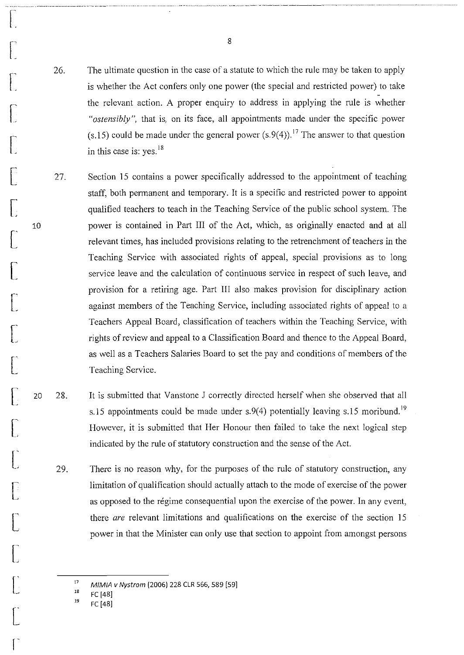26. The ultimate question in the case of a statute to which the rule may be taken to apply is whether the Act confers only one power (the special and restricted power) to take the relevant action. A proper enquiry to address in applying the rule is whether *"ostensibly",* that is, on its face, all appointments made under the specific power  $(s.15)$  could be made under the general power  $(s.9(4))$ .<sup>17</sup> The answer to that question in this case is:  $yes.<sup>18</sup>$ 

27. Section 15 contains a power specifically addressed to the appointment of teaching staff, both permanent and temporary. It is a specific and restricted power to appoint qualified teachers to teach in the Teaching Service of the public school system. The power is contained in Part III of the Act, which, as originally enacted and at all relevant times, has included provisions relating to the retrenchment of teachers in the Teaching Service with associated rights of appeal, special provisions as to long service leave and the calculation of continuous service in respect of such leave, and provision for a retiring age. Part 1II also makes provision for disciplinary action against members of the Teaching Service, including associated rights of appeal to a Teachers Appeal Board, classification of teachers within the Teaching Service, with rights of review and appeal to a Classification Board and thence to the Appeal Board, as well as a Teachers Salaries Board to set the pay and conditions of members of the Teaching Service.

- 20 28. It is submitted that Vanstone J correctly directed herself when she observed that all s.15 appointments could be made under s.9(4) potentially leaving s.15 moribund.<sup>19</sup> However, it is submitted that Her Honour then failed to take the next logical step indicated by the rule of statutory construction and the sense of the Act.
	- 29. There is no reason why, for the purposes of the rule of statutory construction, any limitation of qualification should actually attach to the mode of exercise of the power as opposed to the régime consequential upon the exercise of the power. In any event, there *are* relevant limitations and qualifications on the exercise of the section 15 power in that the Minister can only use that section to appoint from amongst persons

17 MIMIA *v* Nystrom (2006) 228 CLR 566, 589 [591

18 FC [48]

r~

r:

 $\begin{bmatrix} 1 & 1 \\ 1 & 1 \end{bmatrix}$ 

 $\bigcap$ 

r~

**[** 

 $\bigl[$ 

 $\bigl[$ 

10

 $\bigl[$ 

 $\int$ 

 $\bigl[$ 

 $\bigl[$ 

 $\bigl[ \begin{smallmatrix} . & \cdot \end{smallmatrix} \bigr]$ 

 $\int_{0}^{\infty}$ 

 $\int$ 

 $\hat{\Gamma}^{\parallel}$ L

 $\mathsf{C}^{\mathsf{A}}$ L

 $\bigl[$ 

 $\begin{bmatrix} 1 & 1 \\ 1 & 1 \end{bmatrix}$ 

 $\bigl[$ 

r

8

"---------- --,- \_ .. \_.\_-----\_ .. \_- -, .. ,\_. \_.\_-\_. \_\_ .. \_----\_.. .-,,--.. ~--.. --\_.\_ ... ------ ---,----- - -.-.-.--.-~----------~--. -.--.\_----- --------------

<sup>19</sup>  FC [48]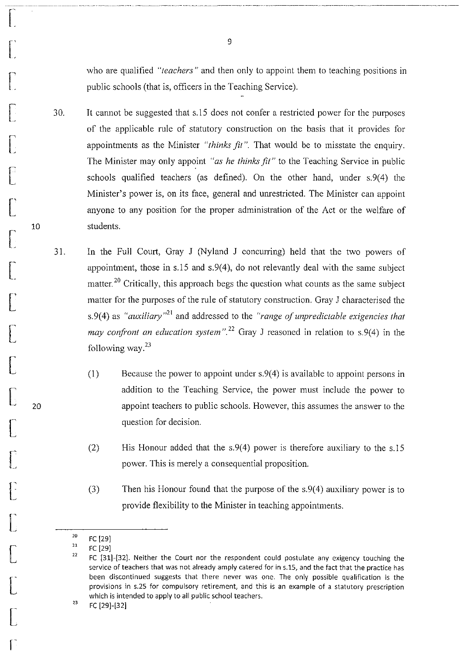who are qualified *"teachers"* and then only to appoint them to teaching positions in public schools (that is, officers in the Teaching Service).

- 30. It cannot be suggested that s.15 does not confer a restricted power for the purposes of the applicable rule of statutory construction on the basis that it provides for appointments as the Minister *"thinks fit".* That would be to misstate the enquiry. The Minister may only appoint *"as he thinks fit"* to the Teaching Service in public schools qualified teachers (as defined). On the other hand, under s.9(4) the Minister's power is, on its face, general and unrestricted. The Minister can appoint anyone to any position for the proper administration of the Act or the welfare of students.
- 31. In the Full Court, Gray J (Nyland J concurring) held that the two powers of appointment, those in  $s.15$  and  $s.9(4)$ , do not relevantly deal with the same subject matter.<sup>20</sup> Critically, this approach begs the question what counts as the same subject matter for the purposes of the rule of statutory construction. Gray J characterised the s.9(4) as *"auxiliary*<sup>21</sup> and addressed to the *"range of unpredictable exigencies that may confront an education system*".<sup>22</sup> Gray J reasoned in relation to s.9(4) in the following way. $23$ 
	- (1) Because the power to appoint under s.9(4) is available to appoint persons in addition to the Teaching Service, the power must include the power to appoint teachers to public schools. However, this assumes the answer to the question for decision.
	- (2) His Honour added that the s.9(4) power is therefore auxiliary to the s.15 power. This is merely a consequential proposition.
	- (3) Then his Honour found that the purpose of the s.9(4) auxiliary power is to provide flexibility to the Minister in teaching appointments.
	- 20 FC [29]

 $\overline{\bigcap_{i=1}^{n}}$ 

r:

r:

 $\bigcap$ 

 $\Box$ 

 $\bigcap$ 

 $\bigl[$ 

 $\lbrack$ 

10

 $\bigl[$ 

 $\llbracket$ 

 $\bigl[$ 

 $\Box$ 

 $\bigl[$ 

20

 $\bigl[$ 

 $\bigl[$ 

 $\mathfrak{f}^+$  $\mathsf{L}_{\parallel}$ 

 $\begin{bmatrix} \phantom{-} \end{bmatrix}$ 

 $\bigl[$ 

 $\bigl[$ 

 $\bigl[$ 

r

<sup>21</sup>  FC [291

<sup>22</sup>  FC [311-[321. Neither the Court nor the respondent could postulate any exigency touching the service of teachers that was not already amply catered for in s.15, and the fact that the practice has **been discontinued suggests that there never was one. The only possible qualification is the provisions in 5.25 for compulsory retirement, and this is an example of a statutory prescription**  which is intended to apply to all public school teachers.

<sup>23</sup> FC [29]-[32]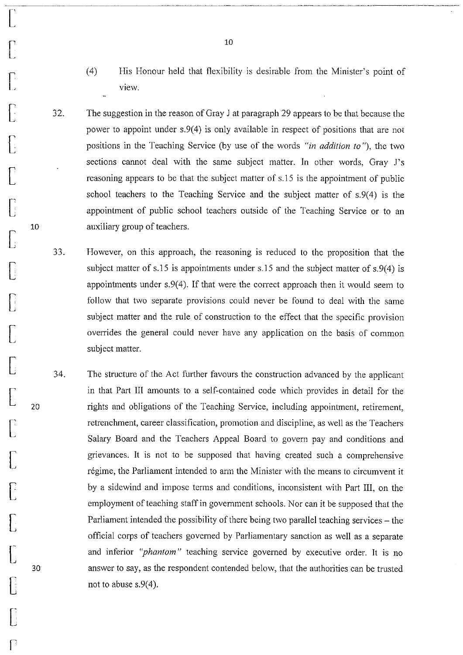- (4) His Honour held that flexibility is desirable from the Minister's point of view.
- 32. The suggestion in the reason of Gray J at paragraph 29 appears to be that because the power to appoint under s.9(4) is only available in respect of positions that are not positions in the Teaching Service (by use of the words *"in addition to* "), the two sections cannot deal with the same subject matter. In other words, Gray J's reasoning appears to be that the subject matter of s.15 is the appointment of public school teachers to the Teaching Service and the subject matter of s.9(4) is the appointment of public school teachers outside of the Teaching Service or to an auxiliary group of teachers.
- 33. However, on this approach, the reasoning is reduced to the proposition that the subject matter of s.15 is appointments under s.15 and the subject matter of s.9(4) is appointments under  $s.9(4)$ . If that were the correct approach then it would seem to follow that two separate provisions could never be found to deal with the same subject matter and the rule of construction to the effect that the specific provision overrides the general could never have any application on the basis of common subject matter.
- 34. The structure of the Act further favours the construction advanced by the applicant in that Part III amounts to a self-contained code which provides in detail for the rights and obligations of the Teaching Service, including appointment, retirement, retrenchment, career classification, promotion and discipline, as well as the Teachers Salary Board and the Teachers Appeal Board to govern pay and conditions and grievances. It is not to be supposed that having created such a comprehensive régime, the Parliament intended to arm the Minister with the means to circumvent it by a sidewind and impose terms and conditions, inconsistent with Part Ill, on the employment of teaching staff in government schools. Nor can it be supposed that the Parliament intended the possibility of there being two parallel teaching services – the official corps of teachers governed by Parliamentary sanction as well as a separate and inferior *"phantom"* teaching service governed by executive order. It is no answer to say, as the respondent contended below, that the authorities can be trusted not to abuse  $s.9(4)$ .

 $\begin{bmatrix} 1 & 1 \\ 1 & 1 \end{bmatrix}$ 

 $\bigl[$ 

 $\bigl[$ 

 $\big\lbrack$ 

 $\Gamma$ 

 $\bigl[$ 

 $\prod$ 

 $\bigcap$ 

10

 $\sqrt{2}$ 

 $\int$ 

 $\bigl[$ 

 $\prod$ 

[

20

 $\bigl[$ 

 $\bigl[$ 

 $\sqrt{\frac{1}{2}}$ 

 $\bigl[$ 

 $\bigl[$ 

30

 $\begin{bmatrix} \phantom{-}\end{bmatrix}$ 

 $\bigl[$ 

 $\bigcap$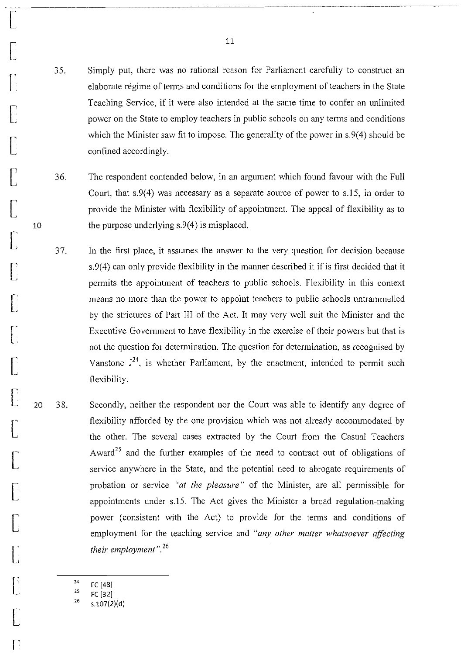35. Simply put, there was no rational reason for Parliament carefully to construct an elaborate regime of terms and conditions for the employment of teachers in the State Teaching Service, if it were also intended at the same time to confer an unlimited power on the State to employ teachers in public schools on any terms and conditions which the Minister saw fit to impose. The generality of the power in s.9(4) should be confined accordingly.

- 36. The respondent contended below, in an argument which found favour with the Full Court, that  $s.9(4)$  was necessary as a separate source of power to s.15, in order to provide the Minister with flexibility of appointment. The appeal of flexibility as to the purpose underlying s.9(4) is misplaced.
- 37. In the first place, it assumes the answer to the very question for decision because s.9(4) can only provide flexibility in the manner described it if is first decided that it permits the appointment of teachers to public schools. Flexibility in this context means no more than the power to appoint teachers to public schools untrammelled by the strictures of Part III of the Act. It may very well suit the Minister and the Executive Government to have flexibility in the exercise of their powers but that is not the question for determination. The question for determination, as recognised by Vanstone  $J^{24}$ , is whether Parliament, by the enactment, intended to permit such flexibility.
- 20 38. Secondly, neither the respondent nor the Court was able to identify any degree of flexibility afforded by the one provision which was not already accommodated by the other. The several cases extracted by the Court from the Casual Teachers Award<sup>25</sup> and the further examples of the need to contract out of obligations of service anywhere in the State, and the potential need to abrogate requirements of probation or service *"at the pleasure"* of the Minister, are all permissible for appointments under s.IS. The Act gives the Minister a broad regulation-making power (consistent with the Act) to provide for the terms and conditions of employment for the teaching service and *"any other matter whatsoever affecting their employment". 26* 
	- 24 FC [48]

['

 $\bigl[$ 

 $\bigcap$ 

 $\prod$ 

 $\Gamma$ 

 $\begin{bmatrix} 1 & 1 \\ 1 & 1 \end{bmatrix}$ 

 $\bigl[$ 

10

 $\bigcup$ 

 $\Box$ 

 $\mathbb{D}% _{A}$ 

**[** 

 $\begin{bmatrix} 1 & 1 \\ 1 & 1 \end{bmatrix}$ 

[

 $\Gamma$ 

 $\bigl[$ 

 $\bigl[$ 

 $\bigcap$ 

 $\bigcap$ 

 $\lceil$ 

 $\bigl[ \begin{smallmatrix} 1 & 1 \\ 1 & 1 \end{smallmatrix} \bigr]$ 

re

25 26 FC [32]

s.107(2)(d)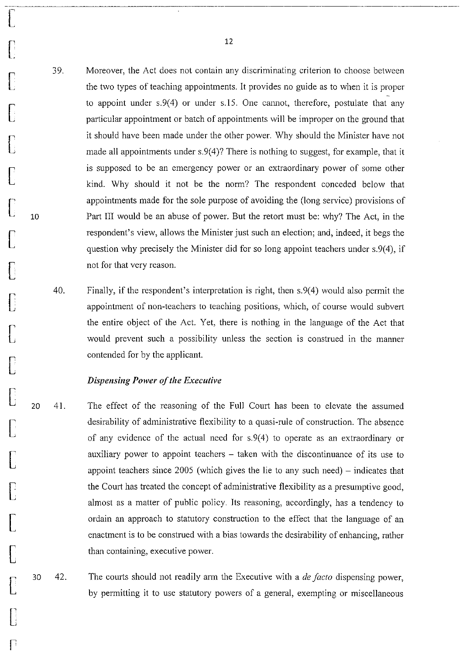39. Moreover, the Act does not contain any discriminating criterion to choose between the two types of teaching appointments. It provides no guide as to when it is proper to appoint under s.9(4) or under s.15. One cannot, therefore, postulate that any particular appointment or batch of appointments will be improper on the ground that it should have been made under the other power. Why should the Minister have not made all appointments under  $s.9(4)$ ? There is nothing to suggest, for example, that it is supposed to be an emergency power or an extraordinary power of some other kind. Why should it not be the norm? The respondent conceded below that appointments made for the sole purpose of avoiding the (long service) provisions of Part III would be an abuse of power. But the retort must be: why? The Act, in the respondent's view, allows the Minister just such an election; and, indeed, it begs the question why precisely the Minister did for so long appoint teachers under s.9(4), if not for that very reason.

40. Finally, if the respondent's interpretation is right, then s.9(4) would also permit the appointment of non-teachers to teaching positions, which, of course would subvert the entire object of the Act. Yet, there is nothing in the language of the Act that would prevent such a possibility unless the section is construed in the manner contended for by the applicant.

#### *Dispensing Power of the Executive*

 $\bigcap$ 

 $\begin{bmatrix} 1 & 1 \\ 1 & 1 \end{bmatrix}$ 

 $\llbracket$ 

 $\bigcap$ 

 $\Box$ 

 $\bigl[$ 

 $\bigl[$ 

10

 $\begin{bmatrix} \phantom{-} \end{bmatrix}$ 

 $\begin{bmatrix} \phantom{-}\end{bmatrix}$ 

 $\Box$ 

 $\lbrack$ 

**[** 

 $\overline{C}$ 

 $\bigcap$ 

**[** 

**.**<br>[

 $\lbrack$ 

 $\begin{bmatrix} \phantom{-}\end{bmatrix}$ 

 $\overline{\Gamma}$ 

 $\begin{bmatrix} \phantom{-}\end{bmatrix}$ 

r

20 41. The effect of the reasoning of the Full Court has been to elevate the assumed desirability of administrative flexibility to a quasi-rule of construction. The absence of any evidence of the actual need for s.9(4) to operate as an extraordinary or auxiliary power to appoint teachers  $-$  taken with the discontinuance of its use to appoint teachers since  $2005$  (which gives the lie to any such need) – indicates that the Court has treated the concept of administrative flexibility as a presumptive good, almost as a matter of public policy. Its reasoning, accordingly, has a tendency to ordain an approach to statutory construction to the effect that the language of an enactment is to be construed with a bias towards the desirability of enhancing, rather than containing, executive power.

30 42. The courts should not readily arm the Executive with a *de facto* dispensing power, by permitting it to use statutory powers of a general, exempting or miscellaneous

12

--~--------------------------------------------------------------\_.\_--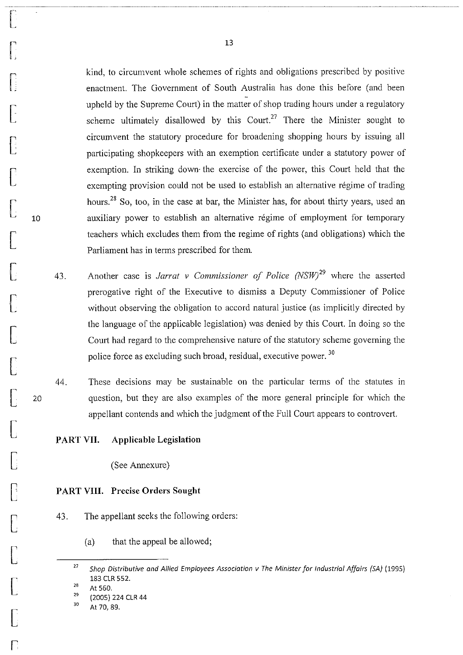kind, to circumvent whole schemes of rights and obligations prescribed by positive enactment. The Government of South Australia has done this before (and been upheld by the Supreme Court) in the matter of shop trading hours under a regulatory scheme ultimately disallowed by this Court.<sup>27</sup> There the Minister sought to circumvent the statutory procedure for broadening shopping hours by issuing all participating shopkeepers with an exemption certificate under a statutory power of exemption. In striking down' the exercise of the power, this Court held that the exempting provision could not be used to establish an alternative régime of trading hours.<sup>28</sup> So, too, in the case at bar, the Minister has, for about thirty years, used an auxiliary power to establish an alternative regime of employment for temporary teachers which excludes them from the regime of rights (and obligations) which the Parliament has in terms prescribed for them.

- 43. Another case is *Jarrat v Commissioner of Police (NSW)*<sup>29</sup> where the asserted prerogative right of the Executive to dismiss a Deputy Commissioner of Police without observing the obligation to accord natural justice (as implicitly directed by the language of the applicable legislation) was denied by this Court. In doing so the Court had regard to the comprehensive nature of the statutory scheme governing the police force as excluding such broad, residual, executive power. 30
- 44. These decisions may be sustainable on the particular terms of the statutes in question, but they are also examples of the more general principle for which the appellant contends and which the judgment of the Full Court appears to controvert.

## PART VII. Applicable Legislation

(See Annexure)

#### PART VIII. Precise Orders Sought

- 43. The appellant seeks the following orders:
	- (a) that the appeal be allowed;

 $\vert$ 

 $\prod_{\mathbf{j}}$ 

U.

 $\bigl[$ 

**[** 

 $\bigl[$ 

 $\lbrack$ 

10

 $\bigl[$ 

**[** 

[

 $\bigl[$ 

**[** 

 $\int$ 

20

 $\bigl[$ 

 $\begin{bmatrix} \phantom{-} \end{bmatrix}$ 

**[** 

 $\overline{\mathsf{L}}$ 

**[** 

**.**<br>[

[

r

<sup>27</sup>  *Shop Distributive and Allied Employees Association v The Minister for Industrial Affairs (SA) (1995)*  183 CLR 552.

<sup>28</sup>  At 560.

<sup>29&</sup>lt;br>30 (2005) 224 CLR 44

At 70, 89.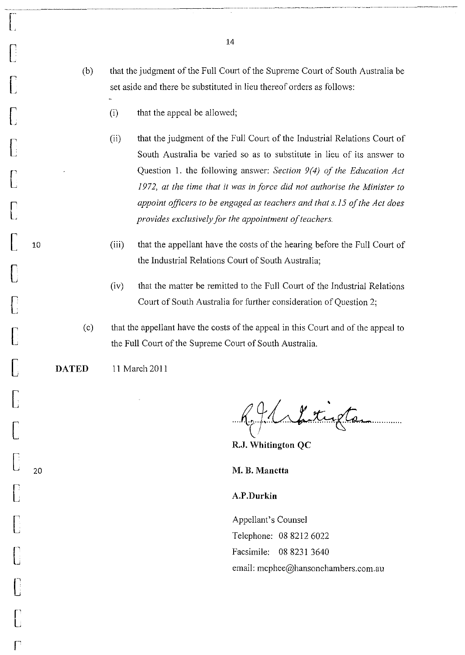- (b) that the judgment of the Full Court of the Supreme Court of South Australia be set aside and there be substituted in lieu thereof orders as follows:
	- (i) that the appeal be allowed;
	- (ii) that the judgment of the Full Court of the Industrial Relations Court of South Australia be varied so as to substitute in lieu of its answer to Question 1. the following answer: *Section* 9(4) *of the Education Act 1972, at the time that* it *was in force did not authorise the Minister to appoint officers* to *be engaged as teachers and that* s.15 *of the Act does provides exclusively for the appointment of teachers.*
	- (iii) that the appellant have the costs of the hearing before the Full Court of the Industrial Relations Court of South Australia;
	- (iv) that the matter be remitted to the Full Court of the Industrial Relations Court of South Australia for further consideration of Question 2;
- ( c) that the appellant have the costs of the appeal in this Court and of the appeal to the Full Court of the Supreme Court of South Australia.

DATED 11 March 2011

 $\mathsf{L}_{\varepsilon}$ 

['

**[** 

 $\bigcap$ 

**[** 

 $\llbracket$ 

 $\bigcap \limits_{\square}$ 

 $\bigcap$ 

[

**[** 

[<br>[]

**[** 

 $\bigl[$ 

 $\bigcup_{i=1}^n$ 

[

 $\begin{bmatrix} \phantom{-} \end{bmatrix}$ 

 $\Box$ 

 $\begin{bmatrix} \phantom{-} \end{bmatrix}$ 

 $\mathbb{R}^n$ 

[ 20

[ 10

future to

\_. \_\_\_\_\_\_\_\_ ~\_~ \_\_\_\_ • \_\_\_\_\_ •• \_. \_\_\_\_\_\_ ~~ \_\_\_\_\_\_ ~.\_ •• \_. \_\_\_\_ ••• \_\_\_\_\_ • \_\_\_ - --\_\_ • \_\_\_ 0. \_\_ -.-.-

RJ. Whitington QC

M. B. Manetta

A.P.Durkin

Appellant's Counsel Telephone: 08 8212 6022 Facsimile: 08 8231 3640 email: mcphee@hansonchambers.com.au